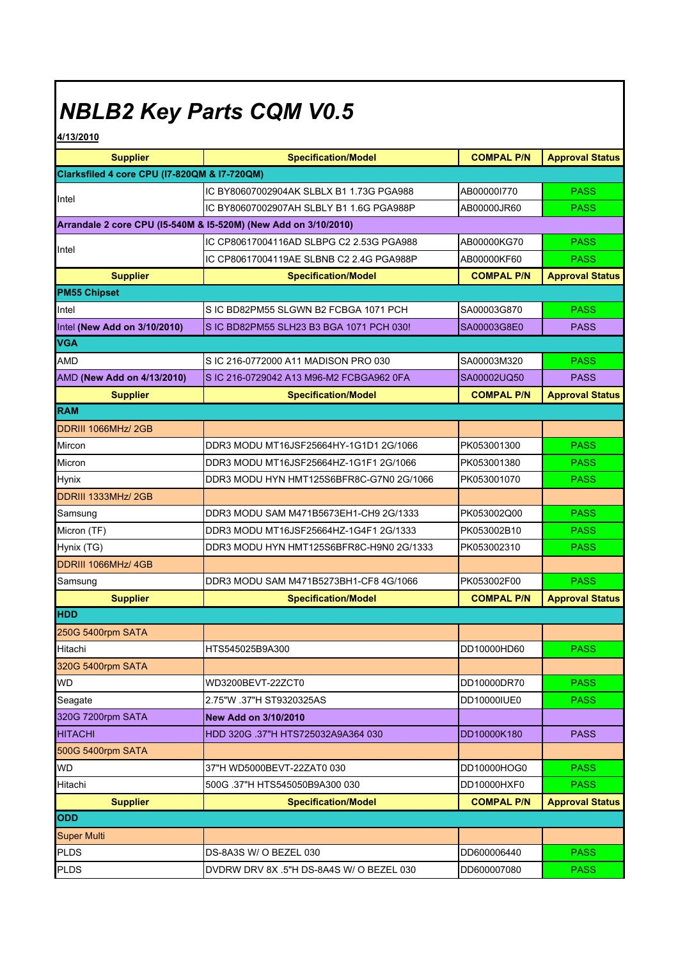## NBLB2 Key Parts CQM V0.5

4/13/2010

| <b>Supplier</b>                              | <b>Specification/Model</b>                                      | <b>COMPAL P/N</b>  | <b>Approval Status</b> |  |  |
|----------------------------------------------|-----------------------------------------------------------------|--------------------|------------------------|--|--|
| Clarksfiled 4 core CPU (I7-820QM & I7-720QM) |                                                                 |                    |                        |  |  |
|                                              | IC BY80607002904AK SLBLX B1 1.73G PGA988                        | AB000001770        | <b>PASS</b>            |  |  |
| Intel                                        | IC BY80607002907AH SLBLY B1 1.6G PGA988P                        | AB00000JR60        | <b>PASS</b>            |  |  |
|                                              | Arrandale 2 core CPU (15-540M & 15-520M) (New Add on 3/10/2010) |                    |                        |  |  |
|                                              | IC CP80617004116AD SLBPG C2 2.53G PGA988                        | AB00000KG70        | <b>PASS</b>            |  |  |
| Intel                                        | IC CP80617004119AE SLBNB C2 2.4G PGA988P                        | AB00000KF60        | <b>PASS</b>            |  |  |
| <b>Supplier</b>                              | <b>Specification/Model</b>                                      | <b>COMPAL P/N</b>  | <b>Approval Status</b> |  |  |
| <b>PM55 Chipset</b>                          |                                                                 |                    |                        |  |  |
| Intel                                        | S IC BD82PM55 SLGWN B2 FCBGA 1071 PCH                           | SA00003G870        | <b>PASS</b>            |  |  |
| Intel (New Add on 3/10/2010)                 | S IC BD82PM55 SLH23 B3 BGA 1071 PCH 030!                        | SA00003G8E0        | <b>PASS</b>            |  |  |
| <b>VGA</b>                                   |                                                                 |                    |                        |  |  |
| AMD                                          | S IC 216-0772000 A11 MADISON PRO 030                            | SA00003M320        | <b>PASS</b>            |  |  |
| AMD (New Add on 4/13/2010)                   | S IC 216-0729042 A13 M96-M2 FCBGA962 0FA                        | SA00002UQ50        | <b>PASS</b>            |  |  |
| <b>Supplier</b>                              | <b>Specification/Model</b>                                      | <b>COMPAL P/N</b>  | <b>Approval Status</b> |  |  |
| <b>RAM</b>                                   |                                                                 |                    |                        |  |  |
| DDRIII 1066MHz/2GB                           |                                                                 |                    |                        |  |  |
| Mircon                                       | DDR3 MODU MT16JSF25664HY-1G1D1 2G/1066                          | PK053001300        | <b>PASS</b>            |  |  |
| Micron                                       | DDR3 MODU MT16JSF25664HZ-1G1F1 2G/1066                          | PK053001380        | <b>PASS</b>            |  |  |
| <b>Hynix</b>                                 | DDR3 MODU HYN HMT125S6BFR8C-G7N0 2G/1066                        | PK053001070        | <b>PASS</b>            |  |  |
| DDRIII 1333MHz/2GB                           |                                                                 |                    |                        |  |  |
| Samsung                                      | DDR3 MODU SAM M471B5673EH1-CH9 2G/1333                          | PK053002Q00        | <b>PASS</b>            |  |  |
| Micron (TF)                                  | DDR3 MODU MT16JSF25664HZ-1G4F1 2G/1333                          | PK053002B10        | <b>PASS</b>            |  |  |
| Hynix (TG)                                   | DDR3 MODU HYN HMT125S6BFR8C-H9N0 2G/1333                        | PK053002310        | <b>PASS</b>            |  |  |
| DDRIII 1066MHz/4GB                           |                                                                 |                    |                        |  |  |
| Samsung                                      | DDR3 MODU SAM M471B5273BH1-CF8 4G/1066                          | PK053002F00        | <b>PASS</b>            |  |  |
| <b>Supplier</b>                              | <b>Specification/Model</b>                                      | <b>COMPAL P/N</b>  | <b>Approval Status</b> |  |  |
| <b>HDD</b>                                   |                                                                 |                    |                        |  |  |
| 250G 5400rpm SATA                            |                                                                 |                    |                        |  |  |
| Hitachi                                      | HTS545025B9A300                                                 | DD10000HD60        | <b>PASS</b>            |  |  |
| 320G 5400rpm SATA                            |                                                                 |                    |                        |  |  |
| WD                                           | WD3200BEVT-22ZCT0                                               | DD10000DR70        | <b>PASS</b>            |  |  |
| Seagate                                      | 2.75"W .37"H ST9320325AS                                        | <b>DD10000IUE0</b> | <b>PASS</b>            |  |  |
| 320G 7200rpm SATA                            | <b>New Add on 3/10/2010</b>                                     |                    |                        |  |  |
| <b>HITACHI</b>                               | HDD 320G .37"H HTS725032A9A364 030                              | DD10000K180        | <b>PASS</b>            |  |  |
| 500G 5400rpm SATA                            |                                                                 |                    |                        |  |  |
| <b>WD</b>                                    | 37"H WD5000BEVT-22ZAT0 030                                      | DD10000HOG0        | <b>PASS</b>            |  |  |
| Hitachi                                      | 500G .37"H HTS545050B9A300 030                                  | DD10000HXF0        | <b>PASS</b>            |  |  |
| <b>Supplier</b>                              | <b>Specification/Model</b>                                      | <b>COMPAL P/N</b>  | <b>Approval Status</b> |  |  |
| <b>ODD</b>                                   |                                                                 |                    |                        |  |  |
| <b>Super Multi</b>                           |                                                                 |                    |                        |  |  |
| <b>PLDS</b>                                  | DS-8A3S W/ O BEZEL 030                                          | DD600006440        | <b>PASS</b>            |  |  |
| <b>PLDS</b>                                  | DVDRW DRV 8X .5"H DS-8A4S W/ O BEZEL 030                        | DD600007080        | <b>PASS</b>            |  |  |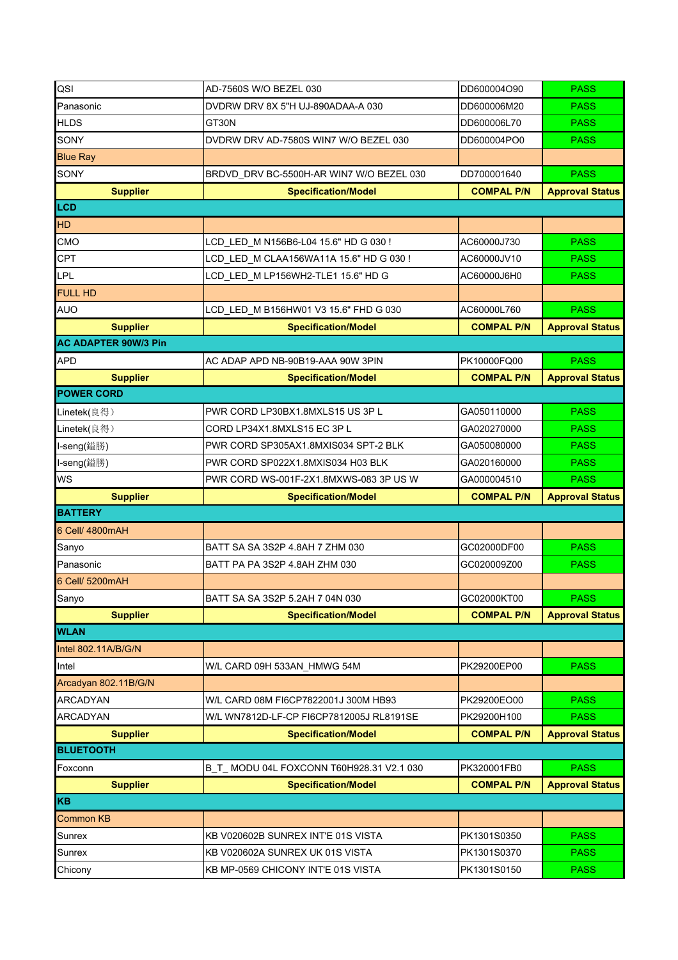| QSI                         | AD-7560S W/O BEZEL 030                                                | DD600004O90                | <b>PASS</b>                |
|-----------------------------|-----------------------------------------------------------------------|----------------------------|----------------------------|
| Panasonic                   | DVDRW DRV 8X 5"H UJ-890ADAA-A 030                                     | DD600006M20                | <b>PASS</b>                |
| <b>HLDS</b>                 | GT30N                                                                 | DD600006L70                | <b>PASS</b>                |
| SONY                        | DVDRW DRV AD-7580S WIN7 W/O BEZEL 030                                 | DD600004PO0                | <b>PASS</b>                |
| <b>Blue Ray</b>             |                                                                       |                            |                            |
| SONY                        | BRDVD_DRV BC-5500H-AR WIN7 W/O BEZEL 030                              | DD700001640                | <b>PASS</b>                |
| <b>Supplier</b>             | <b>Specification/Model</b>                                            | <b>COMPAL P/N</b>          | <b>Approval Status</b>     |
| <b>LCD</b>                  |                                                                       |                            |                            |
| HD                          |                                                                       |                            |                            |
| CMO                         | LCD_LED_M N156B6-L04 15.6" HD G 030 !                                 | AC60000J730                | <b>PASS</b>                |
| <b>CPT</b>                  | LCD_LED_M CLAA156WA11A 15.6" HD G 030 !                               | AC60000JV10                | <b>PASS</b>                |
| LPL                         | LCD_LED_M LP156WH2-TLE1 15.6" HD G                                    | AC60000J6H0                | <b>PASS</b>                |
| <b>FULL HD</b>              |                                                                       |                            |                            |
| <b>AUO</b>                  | LCD_LED_M B156HW01 V3 15.6" FHD G 030                                 | AC60000L760                | <b>PASS</b>                |
| <b>Supplier</b>             | <b>Specification/Model</b>                                            | <b>COMPAL P/N</b>          | <b>Approval Status</b>     |
| <b>AC ADAPTER 90W/3 Pin</b> |                                                                       |                            |                            |
| <b>APD</b>                  | AC ADAP APD NB-90B19-AAA 90W 3PIN                                     | PK10000FQ00                | <b>PASS</b>                |
| <b>Supplier</b>             | <b>Specification/Model</b>                                            | <b>COMPAL P/N</b>          | <b>Approval Status</b>     |
| <b>POWER CORD</b>           |                                                                       |                            |                            |
| Linetek(良得)                 | PWR CORD LP30BX1.8MXLS15 US 3PL                                       | GA050110000                | <b>PASS</b>                |
| Linetek(良得)                 | CORD LP34X1.8MXLS15 EC 3P L                                           | GA020270000                | <b>PASS</b>                |
| I-seng(鎰勝)                  | PWR CORD SP305AX1.8MXIS034 SPT-2 BLK                                  | GA050080000                | <b>PASS</b>                |
| I-seng(鎰勝)                  | PWR CORD SP022X1.8MXIS034 H03 BLK                                     | GA020160000                | <b>PASS</b>                |
| WS                          | PWR CORD WS-001F-2X1.8MXWS-083 3P US W                                | GA000004510                | <b>PASS</b>                |
|                             |                                                                       |                            |                            |
| <b>Supplier</b>             | <b>Specification/Model</b>                                            | <b>COMPAL P/N</b>          | <b>Approval Status</b>     |
| <b>BATTERY</b>              |                                                                       |                            |                            |
| 6 Cell/ 4800mAH             |                                                                       |                            |                            |
| Sanyo                       | BATT SA SA 3S2P 4.8AH 7 ZHM 030                                       | GC02000DF00                | <b>PASS</b>                |
| Panasonic                   | BATT PA PA 3S2P 4.8AH ZHM 030                                         | GC020009Z00                | <b>PASS</b>                |
| 6 Cell/ 5200mAH             |                                                                       |                            |                            |
| Sanyo                       | BATT SA SA 3S2P 5.2AH 7 04N 030                                       | GC02000KT00                | <b>PASS</b>                |
| <b>Supplier</b>             | <b>Specification/Model</b>                                            | <b>COMPAL P/N</b>          | <b>Approval Status</b>     |
| <b>WLAN</b>                 |                                                                       |                            |                            |
| Intel 802.11A/B/G/N         |                                                                       |                            |                            |
| Intel                       | W/L CARD 09H 533AN_HMWG 54M                                           | PK29200EP00                | <b>PASS</b>                |
| Arcadyan 802.11B/G/N        |                                                                       |                            |                            |
| <b>ARCADYAN</b>             | W/L CARD 08M FI6CP7822001J 300M HB93                                  | PK29200EO00                | <b>PASS</b>                |
| <b>ARCADYAN</b>             | W/L WN7812D-LF-CP FI6CP7812005J RL8191SE                              | PK29200H100                | <b>PASS</b>                |
| <b>Supplier</b>             | <b>Specification/Model</b>                                            | <b>COMPAL P/N</b>          | <b>Approval Status</b>     |
| <b>BLUETOOTH</b>            |                                                                       |                            |                            |
| Foxconn                     | B_T_ MODU 04L FOXCONN T60H928.31 V2.1 030                             | PK320001FB0                | <b>PASS</b>                |
| <b>Supplier</b>             | <b>Specification/Model</b>                                            | <b>COMPAL P/N</b>          | <b>Approval Status</b>     |
| KB                          |                                                                       |                            |                            |
| <b>Common KB</b>            |                                                                       |                            |                            |
| Sunrex                      | KB V020602B SUNREX INT'E 01S VISTA                                    | PK1301S0350                | <b>PASS</b>                |
| Sunrex<br>Chicony           | KB V020602A SUNREX UK 01S VISTA<br>KB MP-0569 CHICONY INT'E 01S VISTA | PK1301S0370<br>PK1301S0150 | <b>PASS</b><br><b>PASS</b> |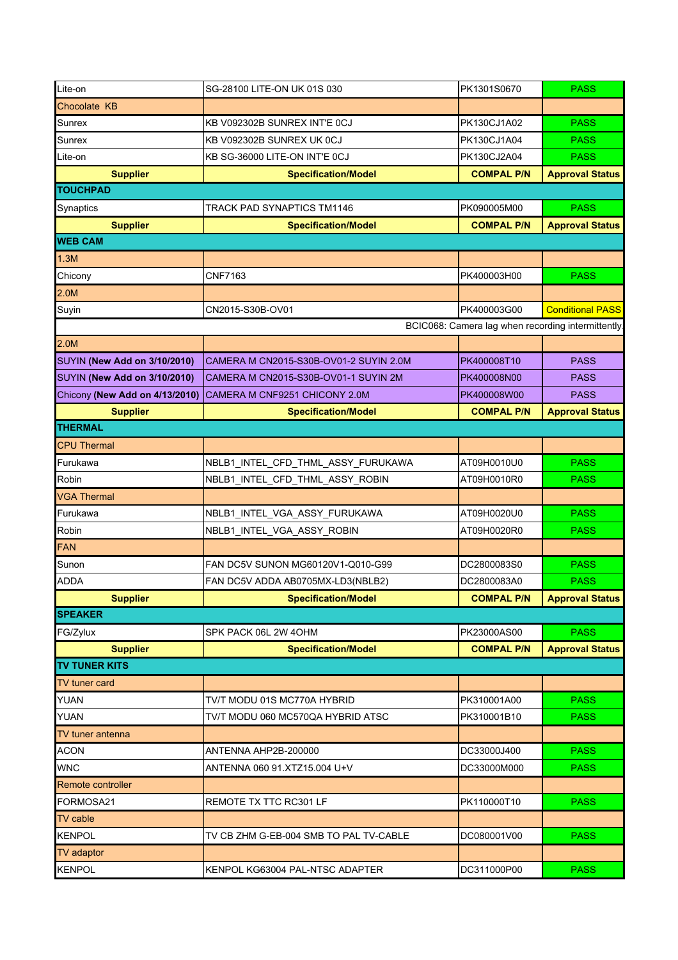| Lite-on                             | SG-28100 LITE-ON UK 01S 030            | PK1301S0670                                       | <b>PASS</b>             |
|-------------------------------------|----------------------------------------|---------------------------------------------------|-------------------------|
| Chocolate KB                        |                                        |                                                   |                         |
| <b>Sunrex</b>                       | KB V092302B SUNREX INT'E OCJ           | PK130CJ1A02                                       | <b>PASS</b>             |
| Sunrex                              | KB V092302B SUNREX UK 0CJ              | PK130CJ1A04                                       | <b>PASS</b>             |
| Lite-on                             | KB SG-36000 LITE-ON INT'E 0CJ          | PK130CJ2A04                                       | <b>PASS</b>             |
| <b>Supplier</b>                     | <b>Specification/Model</b>             | <b>COMPAL P/N</b>                                 | <b>Approval Status</b>  |
| <b>TOUCHPAD</b>                     |                                        |                                                   |                         |
| Synaptics                           | TRACK PAD SYNAPTICS TM1146             | PK090005M00                                       | <b>PASS</b>             |
| <b>Supplier</b>                     | <b>Specification/Model</b>             | <b>COMPAL P/N</b>                                 | <b>Approval Status</b>  |
| <b>WEB CAM</b>                      |                                        |                                                   |                         |
| 1.3M                                |                                        |                                                   |                         |
| Chicony                             | <b>CNF7163</b>                         | PK400003H00                                       | <b>PASS</b>             |
| 2.0M                                |                                        |                                                   |                         |
| Suyin                               | CN2015-S30B-OV01                       | PK400003G00                                       | <b>Conditional PASS</b> |
|                                     |                                        | BCIC068: Camera lag when recording intermittently |                         |
| 2.0M                                |                                        |                                                   |                         |
| <b>SUYIN (New Add on 3/10/2010)</b> | CAMERA M CN2015-S30B-OV01-2 SUYIN 2.0M | PK400008T10                                       | <b>PASS</b>             |
| SUYIN (New Add on 3/10/2010)        | CAMERA M CN2015-S30B-OV01-1 SUYIN 2M   | PK400008N00                                       | <b>PASS</b>             |
| Chicony (New Add on 4/13/2010)      | CAMERA M CNF9251 CHICONY 2.0M          | PK400008W00                                       | <b>PASS</b>             |
| <b>Supplier</b>                     | <b>Specification/Model</b>             | <b>COMPAL P/N</b>                                 | <b>Approval Status</b>  |
| <b>THERMAL</b>                      |                                        |                                                   |                         |
| <b>CPU Thermal</b>                  |                                        |                                                   |                         |
| Furukawa                            | NBLB1_INTEL_CFD_THML_ASSY_FURUKAWA     | AT09H0010U0                                       | <b>PASS</b>             |
| Robin                               | NBLB1_INTEL_CFD_THML_ASSY_ROBIN        | AT09H0010R0                                       | <b>PASS</b>             |
| <b>VGA Thermal</b>                  |                                        |                                                   |                         |
| Furukawa                            | NBLB1_INTEL_VGA_ASSY_FURUKAWA          | AT09H0020U0                                       | <b>PASS</b>             |
| Robin                               | NBLB1_INTEL_VGA_ASSY_ROBIN             | AT09H0020R0                                       | <b>PASS</b>             |
| <b>FAN</b>                          |                                        |                                                   |                         |
| Sunon                               | FAN DC5V SUNON MG60120V1-Q010-G99      | DC2800083S0                                       | <b>PASS</b>             |
| ADDA                                | FAN DC5V ADDA AB0705MX-LD3(NBLB2)      | DC2800083A0                                       | <b>PASS</b>             |
| <b>Supplier</b>                     | <b>Specification/Model</b>             | <b>COMPAL P/N</b>                                 | <b>Approval Status</b>  |
| <b>SPEAKER</b>                      |                                        |                                                   |                         |
| FG/Zylux                            | SPK PACK 06L 2W 4OHM                   | PK23000AS00                                       | <b>PASS</b>             |
| <b>Supplier</b>                     | <b>Specification/Model</b>             | <b>COMPAL P/N</b>                                 | <b>Approval Status</b>  |
| <b>TV TUNER KITS</b>                |                                        |                                                   |                         |
| TV tuner card                       |                                        |                                                   |                         |
| YUAN                                | TV/T MODU 01S MC770A HYBRID            | PK310001A00                                       | <b>PASS</b>             |
| YUAN                                | TV/T MODU 060 MC570QA HYBRID ATSC      | PK310001B10                                       | <b>PASS</b>             |
| TV tuner antenna                    |                                        |                                                   |                         |
| <b>ACON</b>                         | ANTENNA AHP2B-200000                   | DC33000J400                                       | <b>PASS</b>             |
| <b>WNC</b>                          | ANTENNA 060 91.XTZ15.004 U+V           | DC33000M000                                       | <b>PASS</b>             |
| Remote controller                   |                                        |                                                   |                         |
| FORMOSA21                           | REMOTE TX TTC RC301 LF                 | PK110000T10                                       | <b>PASS</b>             |
| <b>TV</b> cable                     |                                        |                                                   |                         |
| <b>KENPOL</b>                       | TV CB ZHM G-EB-004 SMB TO PAL TV-CABLE | DC080001V00                                       | <b>PASS</b>             |
| <b>TV</b> adaptor                   |                                        |                                                   |                         |
| <b>KENPOL</b>                       | KENPOL KG63004 PAL-NTSC ADAPTER        | DC311000P00                                       | <b>PASS</b>             |